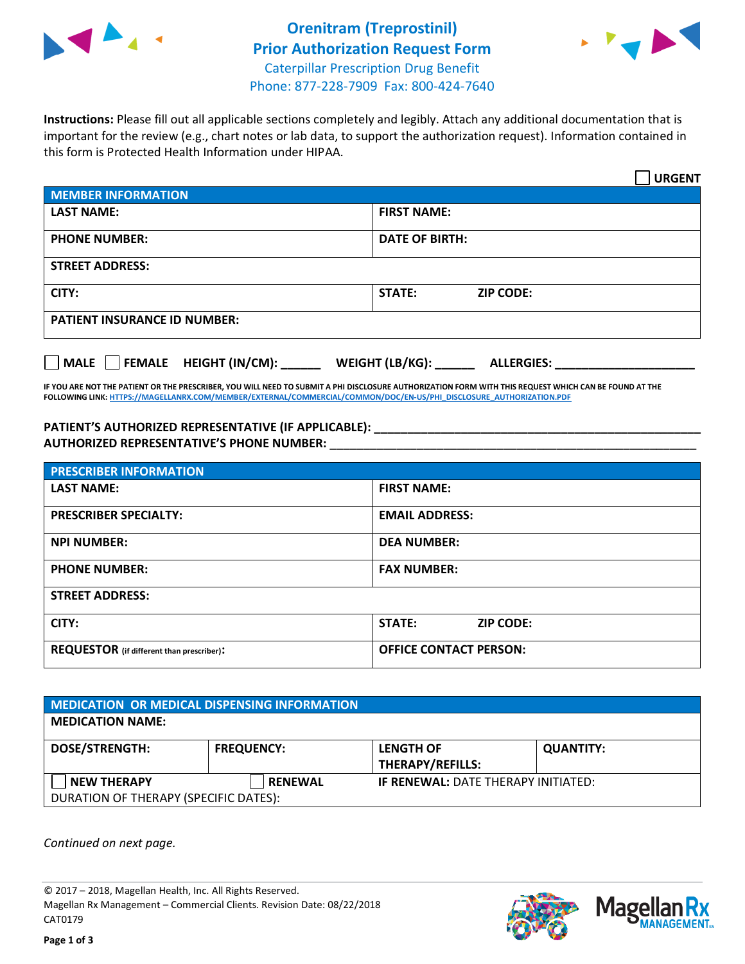



**Instructions:** Please fill out all applicable sections completely and legibly. Attach any additional documentation that is important for the review (e.g., chart notes or lab data, to support the authorization request). Information contained in this form is Protected Health Information under HIPAA.

|                                       | <b>URGENT</b>                        |  |  |  |
|---------------------------------------|--------------------------------------|--|--|--|
| <b>MEMBER INFORMATION</b>             |                                      |  |  |  |
| <b>LAST NAME:</b>                     | <b>FIRST NAME:</b>                   |  |  |  |
| <b>PHONE NUMBER:</b>                  | <b>DATE OF BIRTH:</b>                |  |  |  |
| <b>STREET ADDRESS:</b>                |                                      |  |  |  |
| CITY:                                 | STATE:<br><b>ZIP CODE:</b>           |  |  |  |
| <b>PATIENT INSURANCE ID NUMBER:</b>   |                                      |  |  |  |
| FEMALE HEIGHT (IN/CM):<br><b>MALE</b> | WEIGHT (LB/KG):<br><b>ALLERGIES:</b> |  |  |  |

**IF YOU ARE NOT THE PATIENT OR THE PRESCRIBER, YOU WILL NEED TO SUBMIT A PHI DISCLOSURE AUTHORIZATION FORM WITH THIS REQUEST WHICH CAN BE FOUND AT THE FOLLOWING LINK[: HTTPS://MAGELLANRX.COM/MEMBER/EXTERNAL/COMMERCIAL/COMMON/DOC/EN-US/PHI\\_DISCLOSURE\\_AUTHORIZATION.PDF](https://magellanrx.com/member/external/commercial/common/doc/en-us/PHI_Disclosure_Authorization.pdf)**

**PATIENT'S AUTHORIZED REPRESENTATIVE (IF APPLICABLE): \_\_\_\_\_\_\_\_\_\_\_\_\_\_\_\_\_\_\_\_\_\_\_\_\_\_\_\_\_\_\_\_\_\_\_\_\_\_\_\_\_\_\_\_\_\_\_\_\_ AUTHORIZED REPRESENTATIVE'S PHONE NUMBER:** \_\_\_\_\_\_\_\_\_\_\_\_\_\_\_\_\_\_\_\_\_\_\_\_\_\_\_\_\_\_\_\_\_\_\_\_\_\_\_\_\_\_\_\_\_\_\_\_\_\_\_\_\_\_\_

| <b>PRESCRIBER INFORMATION</b>             |                               |  |  |  |
|-------------------------------------------|-------------------------------|--|--|--|
| <b>LAST NAME:</b>                         | <b>FIRST NAME:</b>            |  |  |  |
| <b>PRESCRIBER SPECIALTY:</b>              | <b>EMAIL ADDRESS:</b>         |  |  |  |
| <b>NPI NUMBER:</b>                        | <b>DEA NUMBER:</b>            |  |  |  |
| <b>PHONE NUMBER:</b>                      | <b>FAX NUMBER:</b>            |  |  |  |
| <b>STREET ADDRESS:</b>                    |                               |  |  |  |
| CITY:                                     | STATE:<br><b>ZIP CODE:</b>    |  |  |  |
| REQUESTOR (if different than prescriber): | <b>OFFICE CONTACT PERSON:</b> |  |  |  |

| <b>MEDICATION OR MEDICAL DISPENSING INFORMATION</b> |                   |                                            |                  |  |
|-----------------------------------------------------|-------------------|--------------------------------------------|------------------|--|
| <b>MEDICATION NAME:</b>                             |                   |                                            |                  |  |
| <b>DOSE/STRENGTH:</b>                               | <b>FREQUENCY:</b> | <b>LENGTH OF</b>                           | <b>QUANTITY:</b> |  |
|                                                     |                   | <b>THERAPY/REFILLS:</b>                    |                  |  |
| <b>NEW THERAPY</b>                                  | <b>RENEWAL</b>    | <b>IF RENEWAL: DATE THERAPY INITIATED:</b> |                  |  |
| DURATION OF THERAPY (SPECIFIC DATES):               |                   |                                            |                  |  |

*Continued on next page.*

© 2017 – 2018, Magellan Health, Inc. All Rights Reserved. Magellan Rx Management – Commercial Clients. Revision Date: 08/22/2018 CAT0179



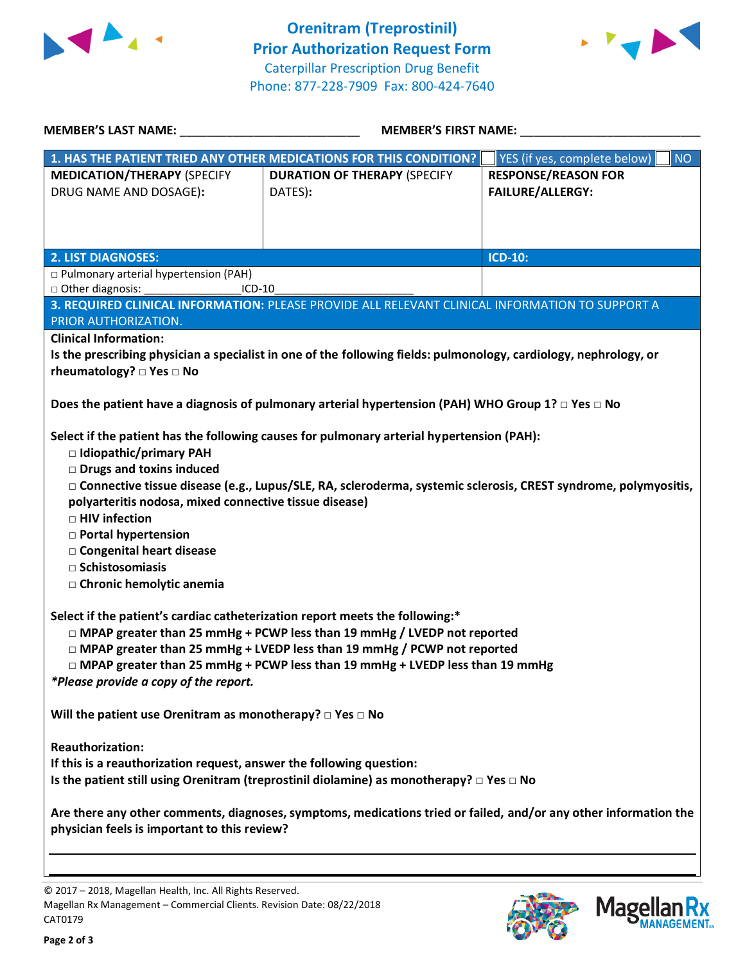



| <b>MEMBER'S LAST NAME:</b>                                                                                                                                                                                                                                                                                                                                        | <b>MEMBER'S FIRST NAME:</b>                                                                                                                                                                                            |                                                       |  |  |
|-------------------------------------------------------------------------------------------------------------------------------------------------------------------------------------------------------------------------------------------------------------------------------------------------------------------------------------------------------------------|------------------------------------------------------------------------------------------------------------------------------------------------------------------------------------------------------------------------|-------------------------------------------------------|--|--|
|                                                                                                                                                                                                                                                                                                                                                                   | 1. HAS THE PATIENT TRIED ANY OTHER MEDICATIONS FOR THIS CONDITION?                                                                                                                                                     | YES (if yes, complete below)<br><b>NO</b>             |  |  |
| <b>MEDICATION/THERAPY (SPECIFY</b><br>DRUG NAME AND DOSAGE):                                                                                                                                                                                                                                                                                                      | <b>DURATION OF THERAPY (SPECIFY</b><br>DATES):                                                                                                                                                                         | <b>RESPONSE/REASON FOR</b><br><b>FAILURE/ALLERGY:</b> |  |  |
| <b>2. LIST DIAGNOSES:</b>                                                                                                                                                                                                                                                                                                                                         |                                                                                                                                                                                                                        | <b>ICD-10:</b>                                        |  |  |
| p Pulmonary arterial hypertension (PAH)<br>□ Other diagnosis:<br>$ICD-10$                                                                                                                                                                                                                                                                                         |                                                                                                                                                                                                                        |                                                       |  |  |
| PRIOR AUTHORIZATION.                                                                                                                                                                                                                                                                                                                                              | 3. REQUIRED CLINICAL INFORMATION: PLEASE PROVIDE ALL RELEVANT CLINICAL INFORMATION TO SUPPORT A                                                                                                                        |                                                       |  |  |
| <b>Clinical Information:</b><br>rheumatology? $\square$ Yes $\square$ No                                                                                                                                                                                                                                                                                          | Is the prescribing physician a specialist in one of the following fields: pulmonology, cardiology, nephrology, or                                                                                                      |                                                       |  |  |
|                                                                                                                                                                                                                                                                                                                                                                   | Does the patient have a diagnosis of pulmonary arterial hypertension (PAH) WHO Group 1? $\Box$ Yes $\Box$ No                                                                                                           |                                                       |  |  |
| □ Idiopathic/primary PAH<br><b>Drugs and toxins induced</b><br>polyarteritis nodosa, mixed connective tissue disease)<br>□ HIV infection<br>□ Portal hypertension<br>□ Congenital heart disease<br>$\Box$ Schistosomiasis<br>□ Chronic hemolytic anemia                                                                                                           | Select if the patient has the following causes for pulmonary arterial hypertension (PAH):<br>□ Connective tissue disease (e.g., Lupus/SLE, RA, scleroderma, systemic sclerosis, CREST syndrome, polymyositis,          |                                                       |  |  |
| Select if the patient's cardiac catheterization report meets the following:*<br>□ MPAP greater than 25 mmHg + PCWP less than 19 mmHg / LVEDP not reported<br>□ MPAP greater than 25 mmHg + LVEDP less than 19 mmHg / PCWP not reported<br>□ MPAP greater than 25 mmHg + PCWP less than 19 mmHg + LVEDP less than 19 mmHg<br>*Please provide a copy of the report. |                                                                                                                                                                                                                        |                                                       |  |  |
| Will the patient use Orenitram as monotherapy? $\square$ Yes $\square$ No                                                                                                                                                                                                                                                                                         |                                                                                                                                                                                                                        |                                                       |  |  |
| <b>Reauthorization:</b><br>If this is a reauthorization request, answer the following question:<br>physician feels is important to this review?                                                                                                                                                                                                                   | Is the patient still using Orenitram (treprostinil diolamine) as monotherapy? $\Box$ Yes $\Box$ No<br>Are there any other comments, diagnoses, symptoms, medications tried or failed, and/or any other information the |                                                       |  |  |
|                                                                                                                                                                                                                                                                                                                                                                   |                                                                                                                                                                                                                        |                                                       |  |  |

© 2017 – 2018, Magellan Health, Inc. All Rights Reserved. Magellan Rx Management – Commercial Clients. Revision Date: 08/22/2018 CAT0179